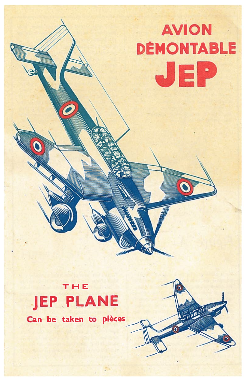# **AVION DÉMONTABLE** JEP

### THE. **JEP PLANE**

Can be taken to pièces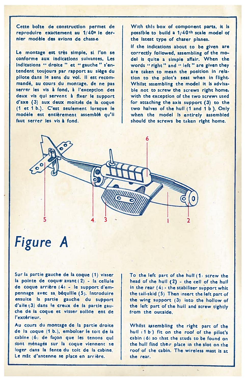Cette boîte de construction permet de reproduire exactement au 1/40<sup>e</sup> le dernier modèle des avions de chassie

Le montage est très simple, si l'on se conforme aux indications suivantes, Les Indications " droite " et " gauche " s'entendent toujours par rapport au siège du pilote dans le sens du vol. Il est recommandé, au cours du montage, de ne pas serrer les vis à fond, à l'exception des deux vis qui servent à fixer le support d'axe (3) aux deux moitiés de la coque (1 et 1 b.). C'est seulement lorsque le modèle est entièrement assemblé qu'il faut serrer les vis à fond.

With this box of component parts, it is possible to build a 1/40th scale model of the latest type of charer planes.

If the indications about to be given are correctly followed, assembling of the model is quite a simple affair. When the words "right" and "left" are given they are taken to mean the position in relation to the pilot's seat when in flight. Whilst assembling the model it is advisabie not to screw the screws right home, with the exception of the two screws used for attaching the axis support (3) to the two halves of the hull (1 and 1 b). Only when the model is entirely assembled should the screws be taken right home.



## Figure A

Sur la partie gauche de la coque (1) visser la pointe de coque avant (2) - la cellule de coque arrière (4) - le support d'empennage avec sa béquille (5). Introduire ensuite la partie gauche du support d'aile (3) dans le creux de la partie gauche de la coque et visser sollde ent de l'extérieur.

Au cours du montage de la partie droite de la coque (1 b.), emboîter le toit de la cabine (6) de façon que les tenons qui sont ménagés sur la coque viennent se loger dans la fente du toit de la cabine. Le mât d'antenne se place en arrière.

To the left part of the hull (1) screw the head of the hull (2) - the cell of the hull in the rear  $(4)$  - the stabiliser support whit the tail-skid (5) Then insert the left part of the wing support (3) into the hollow of the left part of the huil and screw tightly from the outside.

Whilst assembling the right part of the hull (1b) fit on the roof of the pilot's cabin (6) so that the studs to be found on the hull find their place in the slot on the roof of the cabin. The wireless mast is at the rear.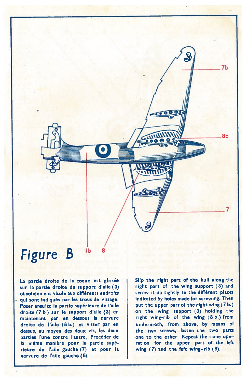

### Figure B Ib <sup>8</sup>

La partie droite de la coque est <sup>g</sup>lissée sur la partie droite du suppor<sup>t</sup> d'alle (3) et solidement vissée aux différents endroits qu<sup>i</sup> sont indiqués par Ies trous de vissage. Poser ensuite la partie supérieure de l'aile droite (7 b) sur le suppor<sup>t</sup> d'alle (3) en maintenant par en dessous la nervure droite de l'aile (8 b.) et visser par en dessus, au moyen des deux vis, Ies deux parties l'une contre l'autre. Procéder de la même manière pour la partie supérieure de l'alle gauche (7) et pour la nervure de l'a'le gauche (8).

Slip the right par<sup>t</sup> of the hull along the right part of the wing support (3) and screw lt up tightly to the dlfférent places indicated by holes made for screwing. Then put the upper part of the right wing (7 b.) on the wing suppor<sup>t</sup> (3) holding the right wing-rib of the wing (8 b.) from underneath, from above, by means of the two screws, fasten the two parts one to the other. Repeat the same ope ration for the upper par<sup>t</sup> of the left wlng (7) and the feft wing—rlb (8).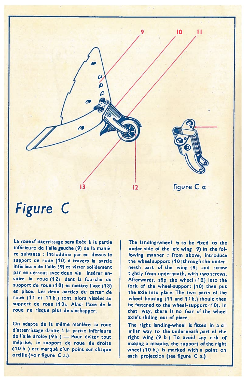

#### Figure C

La roue d'atterrissage sera fixée à la partie inférieure de l'alle gauche (9) de la maniè re suivante : Introduire par en dessus le support de roue (10) à travers la partie inférieure de l'aile (9) et visser solidement par en dessous avec deux vis lnsérer ensuite la roue (12) dans la fourche du support de roue (10) et mettre l'axe (13) en <sup>p</sup>iace. Les deux parties du carter de roue (11 et 11 b.) sont alors vissées au support de roue (10). Ainsi l'axe de la roue ne risque <sup>p</sup>lus de <sup>s</sup>'échapper.

On adapte de la même manière la roue d'atterrissage droite <sup>à</sup> la partie inférieure de l'aile droite (9b.) — Pour éviter tout méprise. le suppori de roue de droite (10 <sup>b</sup> ) est marqué d'un point sur chaque oreille (voir figure C a.)

The landing-wheel is to be fixed to the under side of the left wing 9) in the following manner : from above, introduce the wheel support (10) through the underneath part of the wing (9) and screw tightly from underneath, with iwo screws. Afterwards, slip the wheel (12) into the fork of the wheel-support (10) then put the axle into pIace. The two parta of the wheel housing (11 and 11b.) should then be fastened to the wheel-support (10). In that way, there is no fear of the whee axle's sliding out of piace

The right landing-wheel is fitted in a similar way to the underneath part of the right wing (9 <sup>b</sup> ) To avoid any risk of making <sup>a</sup> mistake. the support of the right wheel (10 b.) is marked with a point on each projection (see figure C a.).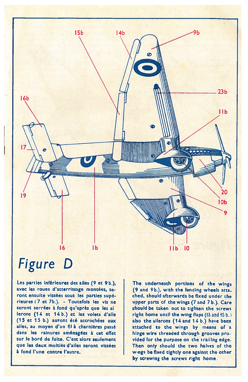

# Figure D

Les parties inférieures des ailes (9 et 9b.) avec les roues d'atterrissage montées, se ront ensuite vissées sous les parties supé rieures (7 et 7b.). — Toutefois les vis ne seront serrées à fond qu'après que les a lerons (14 et 14 b.) et les volets d'alle (15 et 15 b.) auront été accrochées aux ailes, au moyen d'un fil à charnières passé dans les rainures aménagées à cet effet sur le bord de fuite. C'est alors seulement que les deux moitiés d'ailes seront vissées à fond l'une contre l'autre.

The underneath portions of the wings (9 and 9b.), with the landing wheels atta\_ ched, should afterwards be fixed under the upper parts of the wings (7 and 7 b.). Care should be taken not to tighten the screw right home until the wing flaps (15 and 15 b. also the ailerons (14 and 14 b.) have been attached to the wings by means of a hinge wire threaded through grooves provided for the purpose on the trailing edge. Then only should the two halves of the wings be fixed tightly one against the other by screwing the screws right home.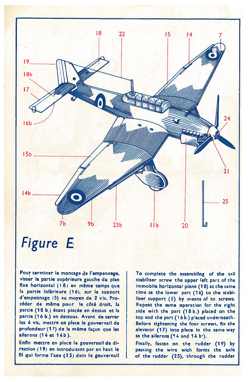

#### Figure E

Pour terminer le montage de l'empennage visser la partie supérieure gauche du plan fixe horizontal  $(18)$  en même temps que la partie inférieure (16), sur le support d'empennage (5) au moyen de 2 vis. Procéder de même pour le côté droit, la partie (18 b.) étant placée en dessus et la partie (16 b.) en dessous. Avant de serrer les 4 vis, mettre en place le gouvernail de profondeur (17) de la même façon que les ailerons (14 cc 14b).

Enfin metcre en piace le gouvernall de di rection (19) en introduisant par en haut le fil qui forme l'axe (25) dans le gouvernai

To complete the assembling of the tail stabiliser screw the upper left part of the immobile horizontal <sup>p</sup>iane (1 8) at the same time as the iower parc (16) to the stabi liser support (5) by means of to screws. Repeat the same operation for the right side with the part (18 b.) piaced on the top and che parc (16b.) <sup>p</sup>'aced underneath. Before tightening the four screws, fix the elevator (17) into piace in the same way as the ailerons  $(14$  and  $14$  b<sup>-</sup>).

Finally, fasten on the rudder (19) by passing the wire wich forma the axie of the rudder (25), through the rudder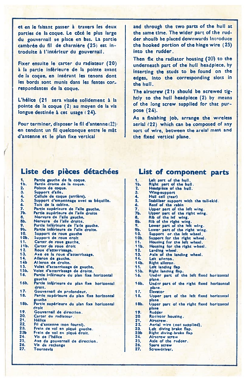et en le faisant passer à travers Ies deux parties de la coque. Le côté le plus large du gouvernail se place en bas. La partie cambrée du fil de charnière (25) est introduite à l'intérieur du gouvernail.

Fixer ensuite le carter du radiateur (20) à la partie inférieure de la pointe avant de la coque, en insérant les tenons dont les bords sont munis dans les fentes cor respondantes de la coque.

L'hélice (21 sera vissée solidement à la pointe de la coque (2) au moyen de la via longue destinée à cet usage (24).

Pour terminer, disposer le fil d'antenne (22) en tendant un fil quelconque entre le mit d'antenne et le plan fìxe vertical

and through the two parta of the hull at the same time. The wider par<sup>t</sup> of the rud der shoulb be placed dowriwards Introduce the hooked portion of the hinge wire (25) into the rudder,

Then flx the radiator housing  $(20)$  to the underneath par<sup>t</sup> of the huil headpiece, by inserting the studs to be found on the edges, into the corresponding slots in the hull.

The airscrew (21) should be screwed tig htly to the hull headpiece (2) by means of the long screw supplied for that purpose (24),

As a finishing job, arrange the wireless aerial (22) which can be composed of any sort of wire, between the areial mast and the fixed vertical piane.

#### Liste des pièces détachées

| 1.              | Partie gauche de la coque.                |
|-----------------|-------------------------------------------|
| 1Ь.             | Partie droite de la coque.                |
| 2.              | Pointe de coque.                          |
| 3.              | Support d'aile.                           |
| 4.              | Cellule de coque (arrière).               |
| 5.              | Support d'empennage avec sa béquille.     |
| 6.              | Toit de la cabine.                        |
| 7.              | Partie supérieure de l'alle gauche.       |
| 7Ь.             | Partie supérieure de l'aile droite        |
| 8.              | Nervure de l'aile gauche.                 |
| 8b.             | Nervure de l'aile droite.                 |
| 9. .            | Partle inférieure de l'aile gauche.       |
| 9Ь.             | Partie inférieure de l'alle droite.       |
| 10.             | Support de roue gauche                    |
| 10Ь.            | Support de roue droit                     |
| 11.             | Carter de roue gauche.                    |
| 11Ь.            | Carter de roue droit                      |
| 12.             | Roue d'atterrissage.                      |
| 13.             | Axe de la roue d'atterrissage.            |
| 14.             | Alleron de gauche.                        |
| 14 <sub>b</sub> | Aileron de droite.                        |
| 15.             | Volet d'atterrissage de gauche.           |
| 15b.            | Volet d'atterrissage de droite.           |
| 16.             | Partie inférieure du plan fixe horizontal |
|                 | gauche                                    |
| 16b.            | Partie inférieure du plan fixe horizontal |
|                 | droit.                                    |
| 17.             | Gouvernail de profondeur.                 |
| 18.             | Partie supérieure du plan fixe horizontal |
|                 | gauche.                                   |
| 18b.            | Partie supérieure du plan fixe horizontal |
|                 | droit                                     |
| 19.             | Gouvernall de direction.                  |
| 20.             | Carter du radiateur.                      |
| 21.             | <b>Hélice</b>                             |
| 22.             | Fil d'antenne (non fourni).               |
| 23.             | Frein de vol en piqué gauche.             |
| 23Ь             | Frein de vol en piqué droit.              |
| 24.             | Vis de l'hélice                           |
| 25.             | Axe du gouvernail de direction.           |
| 26.             | Vis de rechange                           |
| 27.             | <b>Tournevis</b>                          |
|                 |                                           |

#### List of component parts

| 1.              | Left part of the hull.                   |
|-----------------|------------------------------------------|
| 1b.             | Right part of the hull.                  |
| 2.              | Headpièce of the hull.                   |
| 3.              | Wing-support                             |
| 4.              | Hull cell (rear)                         |
| 5. .            | Stabiliser support with the tail-skid.   |
| 6.              | Roof of the cabin                        |
| 7.              | Upper part of the left wing.             |
| 7Ь.             | Upper part of the right wing.            |
| 8.              | Rib of the lef wing.                     |
| 8b.             | Rib of the right wing.                   |
| 9.              | Lower part of the left wing.             |
| 9b.             | Lower part of the right wing.            |
| 10.             | Support or the left wheel.               |
| 10 <sub>b</sub> | Support for the right wheel.             |
| 11.             | Housing for the left wheel.              |
| 11Ь.            | Housing for the right wheel.             |
| 12.             | Landing wheel.                           |
| 13.             | Axle of the landing wheel.               |
| 14.             | Left alleron.                            |
| 14b.            | Right alleron.                           |
| 15.             | Left landing flap                        |
| 15b.            | Right landing flap.                      |
| 16.             | Under part of the left fixed horizontal  |
|                 | plane.                                   |
| 16b.            | Under part of the right fixed horizontal |
|                 | plane.                                   |
| 17.             | Elevator                                 |
| 18.             | Upper part of the left fixed horizontal  |
|                 | plane                                    |
| 18b.            | Upper part of the right fixed horizontal |
|                 | plane                                    |
| 19.             | Rudder                                   |
| 20.             | Radiator housing.                        |
| 21.             | Airscrew.                                |
| 22.             | Aerial wire (not supplied).              |
| 23.             | Left diving brake flap.                  |
| 23b<br>24.      | Right diving-brake flap                  |
| 25.             | Airscrew screw                           |
| 26.             | Axle of the rudder.                      |
| n.              | Spare screw<br>.                         |

Screwdrlver, 27.